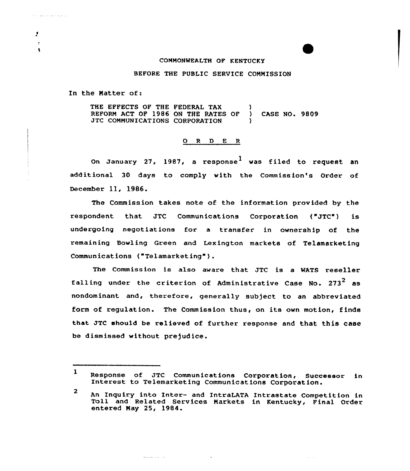## CONNONWEALTH OF KENTUCKY

## BEFORE THE PUBLIC SERVICE COMMISSION

In the Natter of:

THE EFFECTS OF THE FEDERAL TAX REFORN ACT OF 1986 ON THE RATES OF ) CASE NQ. 9809 JTC COMMUNICATIONS CORPORATION

## 0 <sup>R</sup> <sup>D</sup> E <sup>R</sup>

On January 27, 1987, a response $^{\text{1}}$  was filed to request an additional 30 days to comply with the Commission's Order of December ll, 1986.

The Commission takes note of the information provided by the respondent that JTC Communications Corporation ("JTC") is undergoing negotiations for a transfer in ownership of the remaining Bowling Green and Lexington markets of Telamarketing Communications ("Telamarketing").

The Commission is also aware that JTC is a MATS reseller falling under the criterion of Administrative Case No.  $273^2$  as nondominant and, therefore, generally subject to an abbreviated form of regulation. The Commission thus, on its own motion, finds that JTC should be relieved of further response and that this case be dismissed without prejudice.

 $\mathcal{L}_{\mathcal{A}}$  ,  $\mathcal{L}_{\mathcal{A}}$ 

المتابعة والمستوقف

Å  $\bullet$ 

 $\bullet$ 

 $\mathbf{1}$ Response of JTC Communications Corporation, Successor in<br>Interest to Telemarketing Communications Corporation.

 $\overline{2}$ An Xnquiry into Inter- and IntraLATA Intrastate Competition in Toll and Related Services Narkets in Kentucky, Final Order entered Nay 25, 1984.